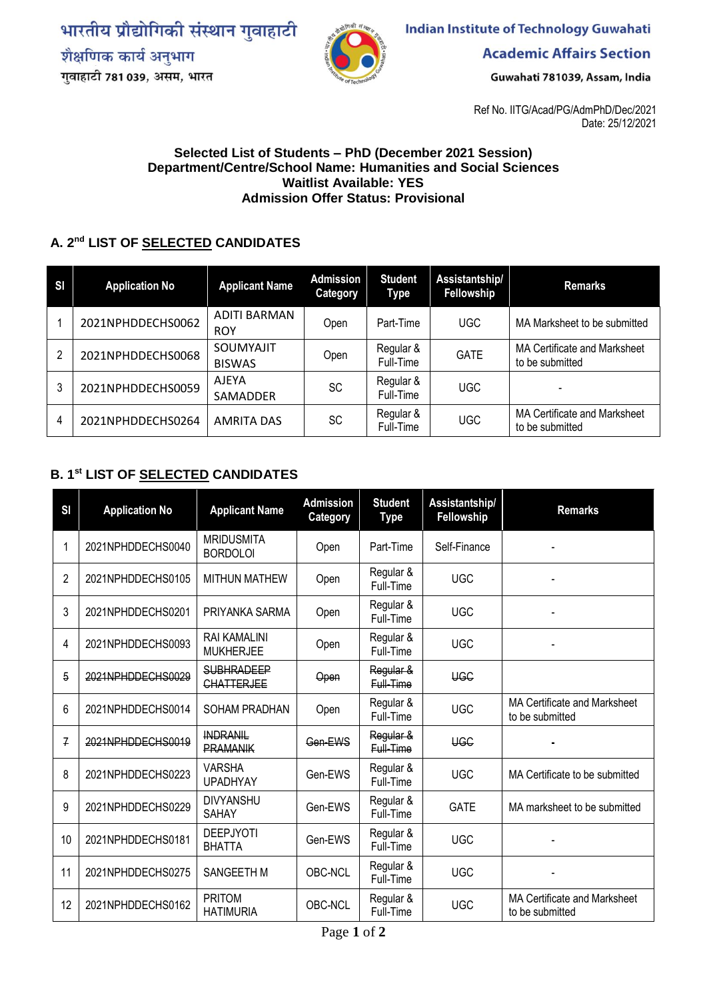भारतीय प्रौद्योगिकी संस्थान गुवाहाटी शैक्षणिक कार्य अनुभाग गुवाहाटी 781 039, असम, भारत



**Indian Institute of Technology Guwahati** 

**Academic Affairs Section** 

Guwahati 781039, Assam, India

Ref No. IITG/Acad/PG/AdmPhD/Dec/2021 Date: 25/12/2021

## **Selected List of Students – PhD (December 2021 Session) Department/Centre/School Name: Humanities and Social Sciences Waitlist Available: YES Admission Offer Status: Provisional**

## **A. 2 nd LIST OF SELECTED CANDIDATES**

| SI | <b>Application No</b> | <b>Applicant Name</b>             | <b>Admission</b><br>Category | <b>Student</b><br>Type | Assistantship/<br>Fellowship | <b>Remarks</b>                                  |
|----|-----------------------|-----------------------------------|------------------------------|------------------------|------------------------------|-------------------------------------------------|
|    | 2021NPHDDECHS0062     | <b>ADITI BARMAN</b><br><b>ROY</b> | Open                         | Part-Time              | UGC.                         | MA Marksheet to be submitted                    |
| 2  | 2021NPHDDECHS0068     | SOUMYAJIT<br><b>BISWAS</b>        | Open                         | Regular &<br>Full-Time | <b>GATE</b>                  | MA Certificate and Marksheet<br>to be submitted |
| 3  | 2021NPHDDECHS0059     | AJEYA<br>SAMADDER                 | SC                           | Regular &<br>Full-Time | UGC                          |                                                 |
| 4  | 2021NPHDDECHS0264     | <b>AMRITA DAS</b>                 | SC                           | Regular &<br>Full-Time | <b>UGC</b>                   | MA Certificate and Marksheet<br>to be submitted |

## **B. 1 st LIST OF SELECTED CANDIDATES**

| <b>SI</b>      | <b>Application No</b> | <b>Applicant Name</b>                   | <b>Admission</b><br>Category | <b>Student</b><br>Type | Assistantship/<br>Fellowship | <b>Remarks</b>                                  |  |
|----------------|-----------------------|-----------------------------------------|------------------------------|------------------------|------------------------------|-------------------------------------------------|--|
|                | 2021NPHDDECHS0040     | <b>MRIDUSMITA</b><br><b>BORDOLOI</b>    | Open                         | Part-Time              | Self-Finance                 |                                                 |  |
| $\overline{2}$ | 2021NPHDDECHS0105     | <b>MITHUN MATHEW</b>                    | Open                         | Regular &<br>Full-Time | <b>UGC</b>                   |                                                 |  |
| 3              | 2021NPHDDECHS0201     | PRIYANKA SARMA                          | Open                         | Regular &<br>Full-Time | <b>UGC</b>                   |                                                 |  |
| 4              | 2021NPHDDECHS0093     | <b>RAI KAMALINI</b><br><b>MUKHERJEE</b> | Open                         | Regular &<br>Full-Time | <b>UGC</b>                   |                                                 |  |
| 5              | 2021NPHDDECHS0029     | <b>SUBHRADEEP</b><br><b>CHATTERJEE</b>  | Open                         | Regular &<br>Full-Time | <b>UGC</b>                   |                                                 |  |
| 6              | 2021NPHDDECHS0014     | <b>SOHAM PRADHAN</b>                    | Open                         | Regular &<br>Full-Time | <b>UGC</b>                   | MA Certificate and Marksheet<br>to be submitted |  |
| 7              | 2021NPHDDECHS0019     | <b>INDRANIL</b><br><b>PRAMANIK</b>      | Gen-EWS                      | Regular &<br>Full-Time | <b>UGC</b>                   |                                                 |  |
| 8              | 2021NPHDDECHS0223     | <b>VARSHA</b><br><b>UPADHYAY</b>        | Gen-EWS                      | Regular &<br>Full-Time | <b>UGC</b>                   | MA Certificate to be submitted                  |  |
| 9              | 2021NPHDDECHS0229     | <b>DIVYANSHU</b><br>SAHAY               | Gen-EWS                      | Regular &<br>Full-Time | <b>GATE</b>                  | MA marksheet to be submitted                    |  |
| 10             | 2021NPHDDECHS0181     | <b>DEEPJYOTI</b><br><b>BHATTA</b>       | Gen-EWS                      | Regular &<br>Full-Time | <b>UGC</b>                   |                                                 |  |
| 11             | 2021NPHDDECHS0275     | <b>SANGEETH M</b>                       | OBC-NCL                      | Regular &<br>Full-Time | <b>UGC</b>                   |                                                 |  |
| 12             | 2021NPHDDECHS0162     | PRITOM<br><b>HATIMURIA</b>              | OBC-NCL                      | Regular &<br>Full-Time | <b>UGC</b>                   | MA Certificate and Marksheet<br>to be submitted |  |